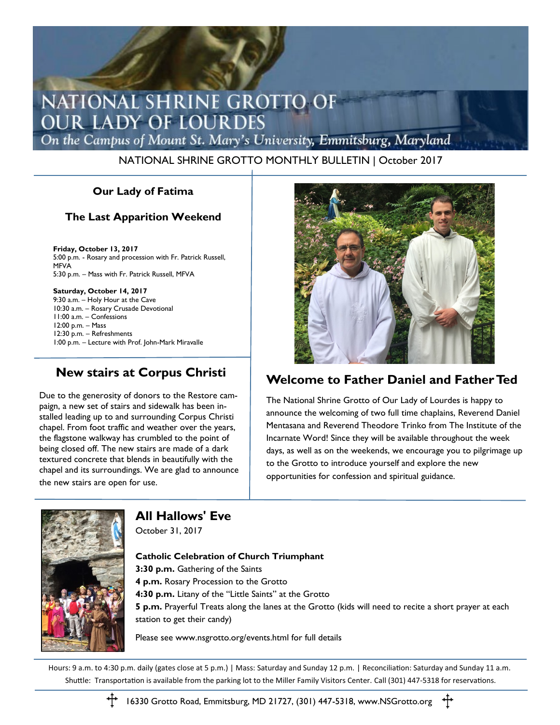# NATIONAL SHRINE GROTTO OF **OUR LADY OF LOURDES**

On the Campus of Mount St. Mary's University, Emmitsburg, Maryland

#### NATIONAL SHRINE GROTTO MONTHLY BULLETIN | October 2017

### **Our Lady of Fatima**

### **The Last Apparition Weekend**

**Friday, October 13, 2017** 5:00 p.m. - Rosary and procession with Fr. Patrick Russell, MFVA 5:30 p.m. – Mass with Fr. Patrick Russell, MFVA

**Saturday, October 14, 2017** 9:30 a.m. – Holy Hour at the Cave 10:30 a.m. – Rosary Crusade Devotional 11:00 a.m. – Confessions 12:00 p.m. – Mass 12:30 p.m. – Refreshments 1:00 p.m. – Lecture with Prof. John-Mark Miravalle

### **New stairs at Corpus Christi**

Due to the generosity of donors to the Restore campaign, a new set of stairs and sidewalk has been installed leading up to and surrounding Corpus Christi chapel. From foot traffic and weather over the years, the flagstone walkway has crumbled to the point of being closed off. The new stairs are made of a dark textured concrete that blends in beautifully with the chapel and its surroundings. We are glad to announce the new stairs are open for use.



### **Welcome to Father Daniel and Father Ted**

The National Shrine Grotto of Our Lady of Lourdes is happy to announce the welcoming of two full time chaplains, Reverend Daniel Mentasana and Reverend Theodore Trinko from The Institute of the Incarnate Word! Since they will be available throughout the week days, as well as on the weekends, we encourage you to pilgrimage up to the Grotto to introduce yourself and explore the new opportunities for confession and spiritual guidance.



**All Hallows' Eve** October 31, 2017

#### **Catholic Celebration of Church Triumphant**

**3:30 p.m.** Gathering of the Saints

- **4 p.m.** Rosary Procession to the Grotto
- **4:30 p.m.** Litany of the "Little Saints" at the Grotto

**5 p.m.** Prayerful Treats along the lanes at the Grotto (kids will need to recite a short prayer at each station to get their candy)

Please see www.nsgrotto.org/events.html for full details

Hours: 9 a.m. to 4:30 p.m. daily (gates close at 5 p.m.) | Mass: Saturday and Sunday 12 p.m. | Reconciliation: Saturday and Sunday 11 a.m. Shuttle: Transportation is available from the parking lot to the Miller Family Visitors Center. Call (301) 447-5318 for reservations.



16330 Grotto Road, Emmitsburg, MD 21727, (301) 447-5318, www.NSGrotto.org